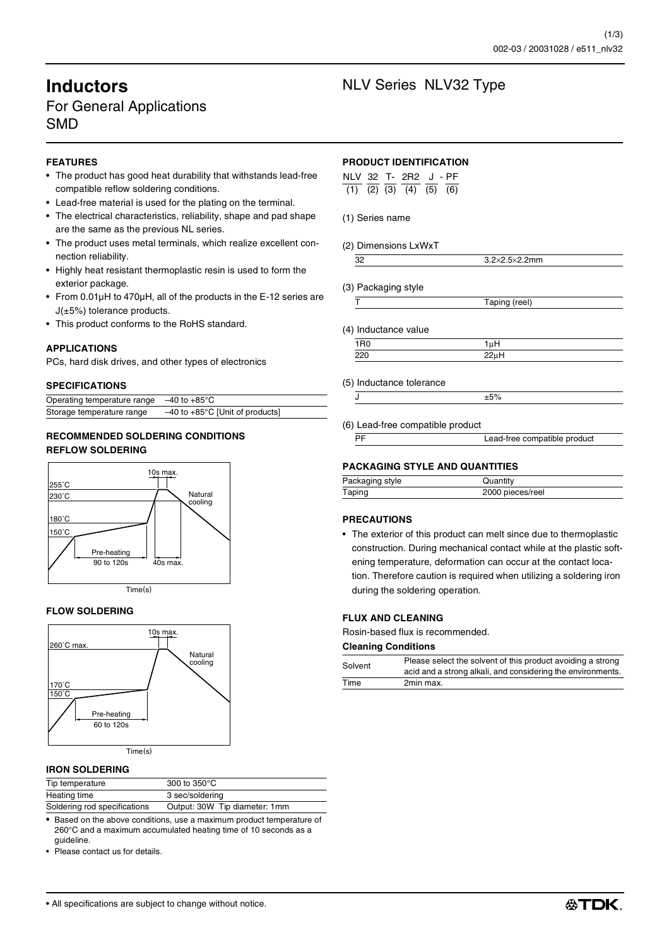# For General Applications SMD

# **FEATURES**

- The product has good heat durability that withstands lead-free compatible reflow soldering conditions.
- Lead-free material is used for the plating on the terminal.
- The electrical characteristics, reliability, shape and pad shape are the same as the previous NL series.
- The product uses metal terminals, which realize excellent connection reliability.
- Highly heat resistant thermoplastic resin is used to form the exterior package.
- From 0.01µH to 470µH, all of the products in the E-12 series are J(±5%) tolerance products.
- This product conforms to the RoHS standard.

## **APPLICATIONS**

PCs, hard disk drives, and other types of electronics

## **SPECIFICATIONS**

| Operating temperature range | $-40$ to $+85^{\circ}$ C                    |
|-----------------------------|---------------------------------------------|
| Storage temperature range   | $-40$ to $+85^{\circ}$ C [Unit of products] |

# **RECOMMENDED SOLDERING CONDITIONS REFLOW SOLDERING**



## **FLOW SOLDERING**



## **IRON SOLDERING**

| Tip temperature              | 300 to $350^{\circ}$ C        |
|------------------------------|-------------------------------|
| Heating time                 | 3 sec/soldering               |
| Soldering rod specifications | Output: 30W Tip diameter: 1mm |

• Based on the above conditions, use a maximum product temperature of 260°C and a maximum accumulated heating time of 10 seconds as a guideline.

• Please contact us for details.

# **Inductors** NLV Series NLV32 Type

## **PRODUCT IDENTIFICATION**

| NLV 32 T- 2R2 J-PF |  |                                     |  |
|--------------------|--|-------------------------------------|--|
|                    |  | $(1)$ $(2)$ $(3)$ $(4)$ $(5)$ $(6)$ |  |

- (1) Series name
- (2) Dimensions LxWxT

| $\sim$ $\sim$ $\sim$ $\sim$ $\sim$<br>11 I |
|--------------------------------------------|
|                                            |

(3) Packaging style T Taping (reel)

(4) Inductance value

 $1R0$  1µH  $220$   $22\mu H$ 

(5) Inductance tolerance

(6) Lead-free compatible product

| PF | Lead-free compatible product |
|----|------------------------------|
|    |                              |

# **PACKAGING STYLE AND QUANTITIES**

 $J$ 

| Packaging style | Quantity         |
|-----------------|------------------|
| Taping          | 2000 pieces/reel |

## **PRECAUTIONS**

• The exterior of this product can melt since due to thermoplastic construction. During mechanical contact while at the plastic softening temperature, deformation can occur at the contact location. Therefore caution is required when utilizing a soldering iron during the soldering operation.

## **FLUX AND CLEANING**

Rosin-based flux is recommended.

#### **Cleaning Conditions**

| Solvent | Please select the solvent of this product avoiding a strong<br>acid and a strong alkali, and considering the environments. |
|---------|----------------------------------------------------------------------------------------------------------------------------|
| Time    | 2min max.                                                                                                                  |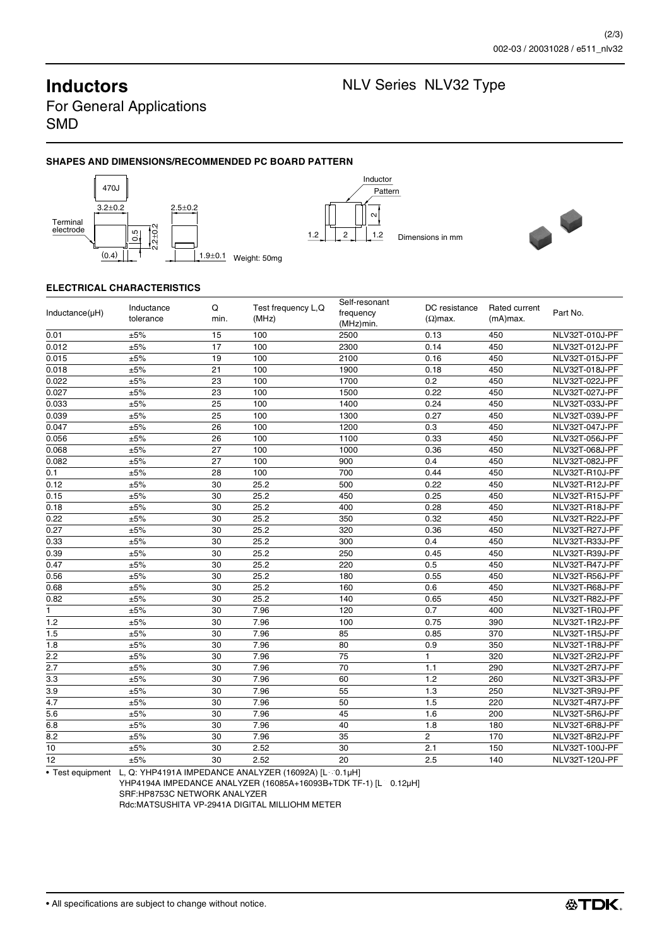**Inductors** NLV Series NLV32 Type

For General Applications SMD

# **SHAPES AND DIMENSIONS/RECOMMENDED PC BOARD PATTERN**







# **ELECTRICAL CHARACTERISTICS**

| $Inductance(\mu H)$ | Inductance<br>tolerance | Q<br>min. | Test frequency L,Q<br>(MHz) | Self-resonant<br>frequency<br>(MHz)min. | DC resistance<br>$(\Omega)$ max. | Rated current<br>$(mA)$ max. | Part No.       |
|---------------------|-------------------------|-----------|-----------------------------|-----------------------------------------|----------------------------------|------------------------------|----------------|
| 0.01                | ±5%                     | 15        | 100                         | 2500                                    | 0.13                             | 450                          | NLV32T-010J-PF |
| 0.012               | $\pm 5\%$               | 17        | 100                         | 2300                                    | 0.14                             | 450                          | NLV32T-012J-PF |
| 0.015               | ±5%                     | 19        | 100                         | 2100                                    | 0.16                             | 450                          | NLV32T-015J-PF |
| 0.018               | ±5%                     | 21        | 100                         | 1900                                    | 0.18                             | 450                          | NLV32T-018J-PF |
| 0.022               | ±5%                     | 23        | 100                         | 1700                                    | 0.2                              | 450                          | NLV32T-022J-PF |
| 0.027               | ±5%                     | 23        | 100                         | 1500                                    | 0.22                             | 450                          | NLV32T-027J-PF |
| 0.033               | ±5%                     | 25        | 100                         | 1400                                    | 0.24                             | 450                          | NLV32T-033J-PF |
| 0.039               | ±5%                     | 25        | 100                         | 1300                                    | 0.27                             | 450                          | NLV32T-039J-PF |
| 0.047               | ±5%                     | 26        | 100                         | 1200                                    | 0.3                              | 450                          | NLV32T-047J-PF |
| 0.056               | ±5%                     | 26        | 100                         | 1100                                    | 0.33                             | 450                          | NLV32T-056J-PF |
| 0.068               | ±5%                     | 27        | 100                         | 1000                                    | 0.36                             | 450                          | NLV32T-068J-PF |
| 0.082               | ±5%                     | 27        | 100                         | 900                                     | 0.4                              | 450                          | NLV32T-082J-PF |
| 0.1                 | ±5%                     | 28        | 100                         | 700                                     | 0.44                             | 450                          | NLV32T-R10J-PF |
| 0.12                | ±5%                     | 30        | 25.2                        | 500                                     | 0.22                             | 450                          | NLV32T-R12J-PF |
| 0.15                | ±5%                     | 30        | 25.2                        | 450                                     | 0.25                             | 450                          | NLV32T-R15J-PF |
| 0.18                | ±5%                     | 30        | 25.2                        | 400                                     | 0.28                             | 450                          | NLV32T-R18J-PF |
| 0.22                | ±5%                     | 30        | 25.2                        | 350                                     | 0.32                             | 450                          | NLV32T-R22J-PF |
| 0.27                | ±5%                     | 30        | 25.2                        | 320                                     | 0.36                             | 450                          | NLV32T-R27J-PF |
| 0.33                | ±5%                     | 30        | 25.2                        | 300                                     | 0.4                              | 450                          | NLV32T-R33J-PF |
| 0.39                | ±5%                     | 30        | 25.2                        | 250                                     | 0.45                             | 450                          | NLV32T-R39J-PF |
| 0.47                | ±5%                     | 30        | 25.2                        | 220                                     | 0.5                              | 450                          | NLV32T-R47J-PF |
| 0.56                | ±5%                     | 30        | 25.2                        | 180                                     | 0.55                             | 450                          | NLV32T-R56J-PF |
| 0.68                | ±5%                     | 30        | 25.2                        | 160                                     | 0.6                              | 450                          | NLV32T-R68J-PF |
| 0.82                | ±5%                     | 30        | 25.2                        | 140                                     | 0.65                             | 450                          | NLV32T-R82J-PF |
| 1                   | ±5%                     | 30        | 7.96                        | 120                                     | 0.7                              | 400                          | NLV32T-1R0J-PF |
| 1.2                 | ±5%                     | 30        | 7.96                        | 100                                     | 0.75                             | 390                          | NLV32T-1R2J-PF |
| 1.5                 | ±5%                     | 30        | 7.96                        | 85                                      | 0.85                             | 370                          | NLV32T-1R5J-PF |
| 1.8                 | ±5%                     | 30        | 7.96                        | 80                                      | 0.9                              | 350                          | NLV32T-1R8J-PF |
| 2.2                 | ±5%                     | 30        | 7.96                        | 75                                      | $\mathbf{1}$                     | 320                          | NLV32T-2R2J-PF |
| 2.7                 | ±5%                     | 30        | 7.96                        | 70                                      | 1.1                              | 290                          | NLV32T-2R7J-PF |
| 3.3                 | ±5%                     | 30        | 7.96                        | 60                                      | 1.2                              | 260                          | NLV32T-3R3J-PF |
| 3.9                 | ±5%                     | 30        | 7.96                        | 55                                      | 1.3                              | 250                          | NLV32T-3R9J-PF |
| 4.7                 | ±5%                     | 30        | 7.96                        | 50                                      | 1.5                              | 220                          | NLV32T-4R7J-PF |
| 5.6                 | $\pm 5\%$               | 30        | 7.96                        | 45                                      | 1.6                              | 200                          | NLV32T-5R6J-PF |
| 6.8                 | ±5%                     | 30        | 7.96                        | 40                                      | 1.8                              | 180                          | NLV32T-6R8J-PF |
| 8.2                 | $\pm 5\%$               | 30        | 7.96                        | 35                                      | $\overline{2}$                   | 170                          | NLV32T-8R2J-PF |
| 10                  | ±5%                     | 30        | 2.52                        | 30                                      | 2.1                              | 150                          | NLV32T-100J-PF |
| 12                  | ±5%                     | 30        | 2.52                        | 20                                      | 2.5                              | 140                          | NLV32T-120J-PF |

• Test equipment L, Q: YHP4191A IMPEDANCE ANALYZER (16092A)  $[L \leq 0.1 \mu H]$ 

YHP4194A IMPEDANCE ANALYZER (16085A+16093B+TDK TF-1) [L  $\geq$  0.12µH]

SRF:HP8753C NETWORK ANALYZER

Rdc:MATSUSHITA VP-2941A DIGITAL MILLIOHM METER